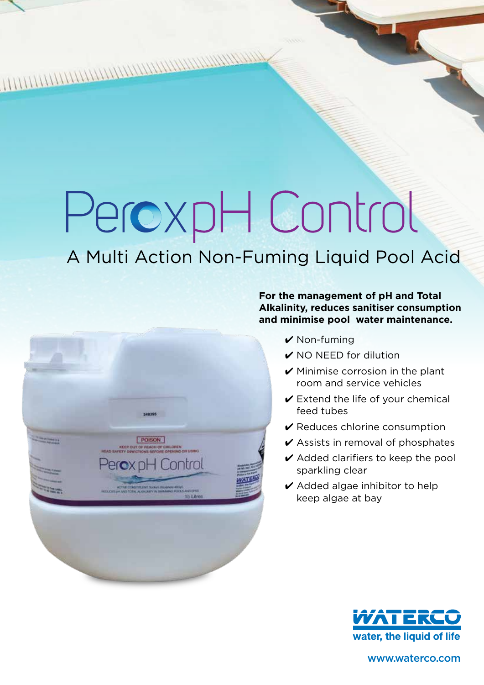# PeroxpH Control

# A Multi Action Non-Fuming Liquid Pool Acid



#### **For the management of pH and Total Alkalinity, reduces sanitiser consumption and minimise pool water maintenance.**

- $\vee$  Non-fuming
- $\vee$  NO NEED for dilution
- $\vee$  Minimise corrosion in the plant room and service vehicles
- $\vee$  Extend the life of your chemical feed tubes
- $\vee$  Reduces chlorine consumption
- $\vee$  Assists in removal of phosphates
- $\vee$  Added clarifiers to keep the pool sparkling clear
- $\vee$  Added algae inhibitor to help keep algae at bay



www.waterco.com